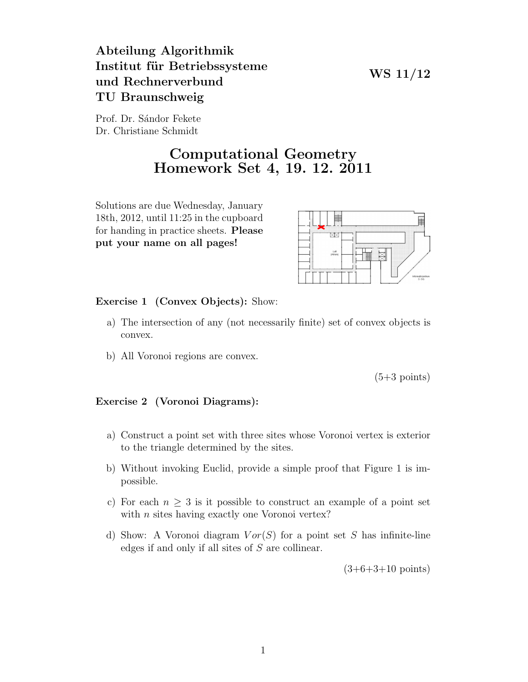## Abteilung Algorithmik Institut für Betriebssysteme und Rechnerverbund TU Braunschweig

WS 11/12

Prof. Dr. Sándor Fekete Dr. Christiane Schmidt

## Computational Geometry Homework Set 4, 19. 12. 2011

Solutions are due Wednesday, January 18th, 2012, until 11:25 in the cupboard for handing in practice sheets. Please put your name on all pages!



Exercise 1 (Convex Objects): Show:

- a) The intersection of any (not necessarily finite) set of convex objects is convex.
- b) All Voronoi regions are convex.

 $(5+3 \text{ points})$ 

## Exercise 2 (Voronoi Diagrams):

- a) Construct a point set with three sites whose Voronoi vertex is exterior to the triangle determined by the sites.
- b) Without invoking Euclid, provide a simple proof that Figure 1 is impossible.
- c) For each  $n \geq 3$  is it possible to construct an example of a point set with *n* sites having exactly one Voronoi vertex?
- d) Show: A Voronoi diagram  $Vor(S)$  for a point set S has infinite-line edges if and only if all sites of S are collinear.

 $(3+6+3+10 \text{ points})$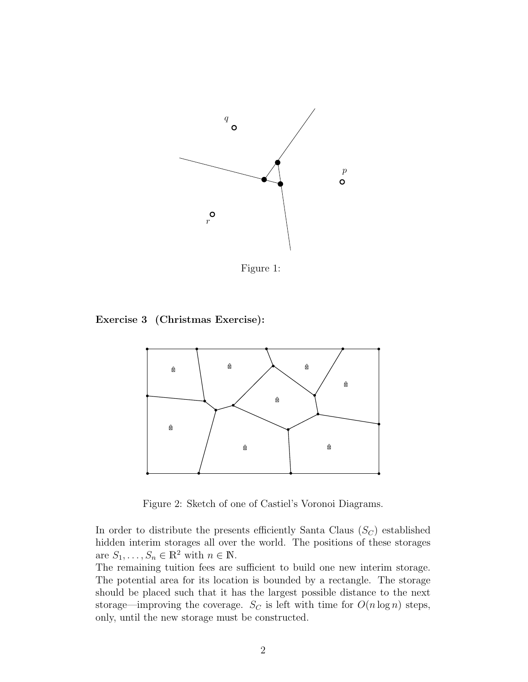

Figure 1:

Exercise 3 (Christmas Exercise):



Figure 2: Sketch of one of Castiel's Voronoi Diagrams.

In order to distribute the presents efficiently Santa Claus  $(S_C)$  established hidden interim storages all over the world. The positions of these storages are  $S_1, \ldots, S_n \in \mathbb{R}^2$  with  $n \in \mathbb{N}$ .

The remaining tuition fees are sufficient to build one new interim storage. The potential area for its location is bounded by a rectangle. The storage should be placed such that it has the largest possible distance to the next storage—improving the coverage.  $S_C$  is left with time for  $O(n \log n)$  steps, only, until the new storage must be constructed.